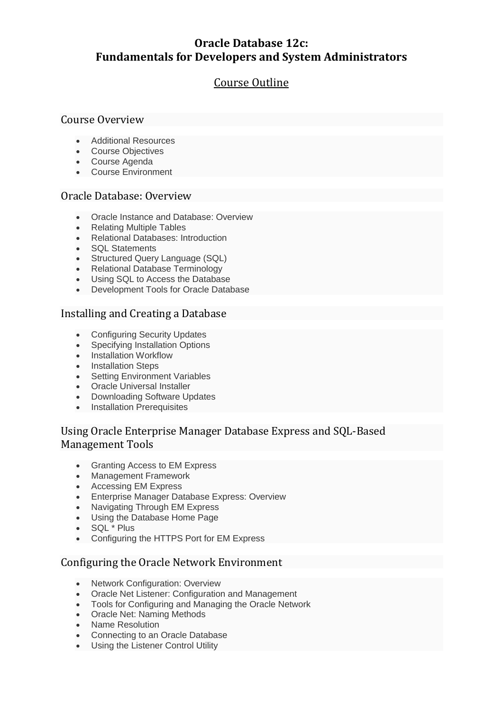# **Oracle Database 12c: Fundamentals for Developers and System Administrators**

# Course Outline

## Course Overview

- Additional Resources
- Course Objectives
- Course Agenda
- Course Environment

## Oracle Database: Overview

- Oracle Instance and Database: Overview
- Relating Multiple Tables
- Relational Databases: Introduction
- SQL Statements
- Structured Query Language (SQL)
- Relational Database Terminology
- Using SQL to Access the Database
- Development Tools for Oracle Database

## Installing and Creating a Database

- Configuring Security Updates<br>• Specifving Installation Ontions
- Specifying Installation Options
- Installation Workflow
- Installation Steps
- Setting Environment Variables
- Oracle Universal Installer
- Downloading Software Updates
- Installation Prerequisites

## Using Oracle Enterprise Manager Database Express and SQL-Based Management Tools

- Granting Access to EM Express
- Management Framework
- Accessing EM Express
- Enterprise Manager Database Express: Overview
- Navigating Through EM Express
- Using the Database Home Page
- SQL \* Plus
- Configuring the HTTPS Port for EM Express

## Configuring the Oracle Network Environment

- Network Configuration: Overview
- Oracle Net Listener: Configuration and Management
- Tools for Configuring and Managing the Oracle Network
- Oracle Net: Naming Methods
- Name Resolution
- Connecting to an Oracle Database
- Using the Listener Control Utility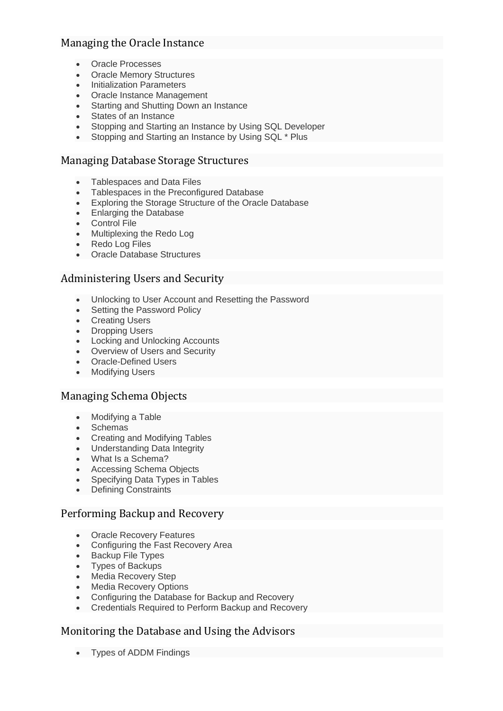## Managing the Oracle Instance

- Oracle Processes
- Oracle Memory Structures
- Initialization Parameters
- Oracle Instance Management
- Starting and Shutting Down an Instance
- States of an Instance
- Stopping and Starting an Instance by Using SQL Developer
- Stopping and Starting an Instance by Using SQL \* Plus

## Managing Database Storage Structures

- Tablespaces and Data Files
- Tablespaces in the Preconfigured Database
- Exploring the Storage Structure of the Oracle Database
- Enlarging the Database
- Control File
- Multiplexing the Redo Log
- Redo Log Files
- Oracle Database Structures

## Administering Users and Security

- Unlocking to User Account and Resetting the Password
- Setting the Password Policy
- Creating Users
- Dropping Users
- Locking and Unlocking Accounts
- Overview of Users and Security
- Oracle-Defined Users
- Modifying Users

## Managing Schema Objects

- Modifying a Table
- Schemas
- Creating and Modifying Tables
- Understanding Data Integrity
- What Is a Schema?
- Accessing Schema Objects
- Specifying Data Types in Tables
- Defining Constraints

## Performing Backup and Recovery

- Oracle Recovery Features
- Configuring the Fast Recovery Area
- Backup File Types
- Types of Backups
- Media Recovery Step
- Media Recovery Options
- Configuring the Database for Backup and Recovery
- Credentials Required to Perform Backup and Recovery

## Monitoring the Database and Using the Advisors

• Types of ADDM Findings